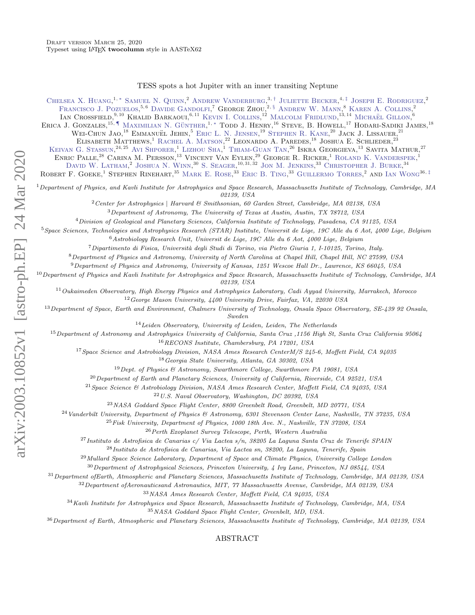## TESS spots a hot Jupiter with an inner transiting Neptune

CHELSEA X. HUANG,<sup>1,\*</sup> SAMUEL N. QUINN,<sup>2</sup> ANDREW VANDERBURG,<sup>3,[†](#page-1-1)</sup> JULIETTE BECKER,<sup>4,[‡](#page-1-2)</sup> JOSEPH E. RODRIGUEZ,<sup>2</sup> FRANCISCO J. POZUELOS.<sup>5,6</sup> DAVIDE GANDOLFI,<sup>7</sup> GEORGE ZHOU.<sup>2, [§](#page-1-3)</sup> ANDREW W. MANN.<sup>8</sup> KAREN A. COLLINS.<sup>2</sup>

IAN CROSSFIELD,<sup>9,10</sup> KHALID BARKAOUI.<sup>6,11</sup> KEVIN I. COLLINS.<sup>12</sup> MALCOLM FRIDLUND.<sup>13,14</sup> MICHAËL GILLON.<sup>6</sup>

ERICA J. GONZALES,<sup>15, [¶](#page-1-4)</sup> MAXIMILIAN N. GÜNTHER.<sup>1,\*</sup> TODD J. HENRY.<sup>16</sup> STEVE, B. HOWELL,<sup>17</sup> HODARI-SADIKI JAMES.<sup>18</sup>

WEI-CHUN JAO,<sup>18</sup> EMMANUËL JEHIN,<sup>5</sup> ERIC L. N. JENSEN,<sup>19</sup> STEPHEN R. KANE,<sup>20</sup> JACK J. LISSAUER,<sup>21</sup>

ELISABETH MATTHEWS,<sup>1</sup> RACHEL A. MATSON,<sup>22</sup> LEONARDO A. PAREDES,<sup>18</sup> JOSHUA E. SCHLIEDER,<sup>23</sup>

KEIVAN G. STASSUN,<sup>24, 25</sup> AVI SHPORER,<sup>1</sup> LIZHOU SHA,<sup>1</sup> THIAM-GUAN TAN,<sup>26</sup> ISKRA GEORGIEVA,<sup>13</sup> SAVITA MATHUR,<sup>27</sup>

ENRIC PALLE.<sup>28</sup> CARINA M. PERSSON.<sup>13</sup> VINCENT VAN EYLEN.<sup>29</sup> GEORGE R. RICKER.<sup>1</sup> ROLAND K. VANDERSPEK.<sup>1</sup>

DAVID W. LATHAM.<sup>2</sup> JOSHUA N. WINN.<sup>30</sup> S. SEAGER.<sup>10, 31, 32</sup> JON M. JENKINS.<sup>33</sup> CHRISTOPHER J. BURKE.<sup>34</sup>

ROBERT F. GOEKE<sup>1</sup> STEPHEN RINEHART.<sup>35</sup> MARK E. ROSE.<sup>33</sup> ERIC B. TING.<sup>33</sup> GUILLERMO TORRES.<sup>2</sup> AND IAN WONG<sup>36, [‡](#page-1-2)</sup>

 $1$  Department of Physics, and Kavli Institute for Astrophysics and Space Research, Massachusetts Institute of Technology, Cambridge, MA 02139, USA

 $2$ Center for Astrophysics | Harvard & Smithsonian, 60 Garden Street, Cambridge, MA 02138, USA

<sup>3</sup>Department of Astronomy, The University of Texas at Austin, Austin, TX 78712, USA

<sup>4</sup>Division of Geological and Planetary Sciences, California Institute of Technology, Pasadena, CA 91125, USA

<sup>5</sup>Space Sciences, Technologies and Astrophysics Research (STAR) Institute, Universit de Lige, 19C Alle du 6 Aot, 4000 Lige, Belgium  $6$ Astrobiology Research Unit, Universit de Lige, 19C Alle du 6 Aot, 4000 Lige, Belgium

<sup>7</sup>Dipartimento di Fisica, Universit`a degli Studi di Torino, via Pietro Giuria 1, I-10125, Torino, Italy.

<sup>8</sup>Department of Physics and Astronomy, University of North Carolina at Chapel Hill, Chapel Hill, NC 27599, USA

<sup>9</sup>Department of Physics and Astronomy, University of Kansas, 1251 Wescoe Hall Dr., Lawrence, KS 66045, USA

 $^{10}$ Department of Physics and Kavli Institute for Astrophysics and Space Research, Massachusetts Institute of Technology, Cambridge, MA 02139, USA

 $11$ Oukaimeden Observatory, High Energy Physics and Astrophysics Laboratory, Cadi Ayyad University, Marrakech, Morocco

<sup>12</sup>George Mason University, 4400 University Drive, Fairfax, VA, 22030 USA

<sup>13</sup> Department of Space, Earth and Environment, Chalmers University of Technology, Onsala Space Observatory, SE-439 92 Onsala, Sweden

<sup>14</sup>Leiden Observatory, University of Leiden, Leiden, The Netherlands

<sup>15</sup>Department of Astronomy and Astrophysics University of California, Santa Cruz ,1156 High St, Santa Cruz California 95064 <sup>16</sup>RECONS Institute, Chambersburg, PA 17201, USA

<sup>17</sup>Space Science and Astrobiology Division, NASA Ames Research CenterM/S 245-6, Moffett Field, CA 94035

<sup>18</sup>Georgia State University, Atlanta, GA 30302, USA

<sup>19</sup>Dept. of Physics & Astronomy, Swarthmore College, Swarthmore PA 19081, USA

 $^{20}$  Department of Earth and Planetary Sciences, University of California, Riverside, CA 92521, USA

<sup>21</sup> Space Science & Astrobiology Division, NASA Ames Research Center, Moffett Field, CA 94035, USA

<sup>22</sup>U.S. Naval Observatory, Washington, DC 20392, USA

<sup>23</sup>NASA Goddard Space Flight Center, 8800 Greenbelt Road, Greenbelt, MD 20771, USA

<sup>24</sup>Vanderbilt University, Department of Physics & Astronomy, 6301 Stevenson Center Lane, Nashville, TN 37235, USA

 $^{25}$  Fisk University, Department of Physics, 1000 18th Ave. N., Nashville, TN 37208, USA

<sup>26</sup>Perth Exoplanet Survey Telescope, Perth, Western Australia

 $^{27}$ Instituto de Astrofisica de Canarias c/Via Lactea s/n, 38205 La Laguna Santa Cruz de Tenerife SPAIN

<sup>28</sup>Instituto de Astrofisica de Canarias, Via Lactea sn, 38200, La Laguna, Tenerife, Spain

<sup>29</sup> Mullard Space Science Laboratory, Department of Space and Climate Physics, University College London

<sup>30</sup>Department of Astrophysical Sciences, Princeton University, 4 Ivy Lane, Princeton, NJ 08544, USA

 $31$  Department ofEarth, Atmospheric and Planetary Sciences, Massachusetts Institute of Technology, Cambridge, MA 02139, USA

 $32$ Department of Aeronauticsand Astronautics, MIT, 77 Massachusetts Avenue, Cambridge, MA 02139, USA

<sup>33</sup>NASA Ames Research Center, Moffett Field, CA 94035, USA

<sup>34</sup>Kavli Institute for Astrophysics and Space Research, Massachusetts Institute of Technology, Cambridge, MA, USA

<sup>35</sup>NASA Goddard Space Flight Center, Greenbelt, MD, USA.

<sup>36</sup>Department of Earth, Atmospheric and Planetary Sciences, Massachusetts Institute of Technology, Cambridge, MA 02139, USA

ABSTRACT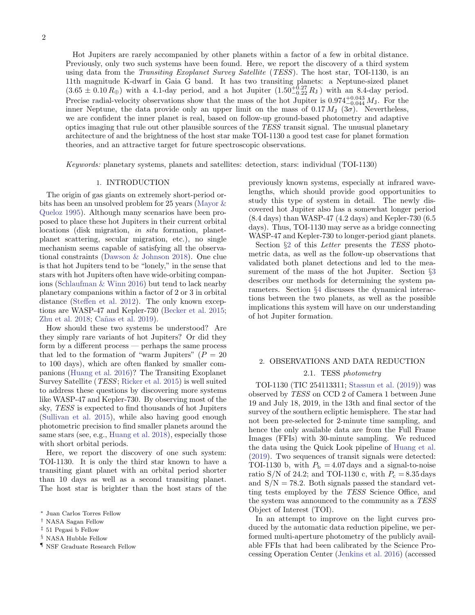Hot Jupiters are rarely accompanied by other planets within a factor of a few in orbital distance. Previously, only two such systems have been found. Here, we report the discovery of a third system using data from the Transiting Exoplanet Survey Satellite (TESS). The host star, TOI-1130, is an 11th magnitude K-dwarf in Gaia G band. It has two transiting planets: a Neptune-sized planet  $(3.65 \pm 0.10 R_{\oplus})$  with a 4.1-day period, and a hot Jupiter  $(1.50^{+0.27}_{-0.22} R_{\rm J})$  with an 8.4-day period. Precise radial-velocity observations show that the mass of the hot Jupiter is  $0.974_{-0.044}^{+0.043} M_J$ . For the inner Neptune, the data provide only an upper limit on the mass of 0.17  $M_J$  (3 $\sigma$ ). Nevertheless, we are confident the inner planet is real, based on follow-up ground-based photometry and adaptive optics imaging that rule out other plausible sources of the TESS transit signal. The unusual planetary architecture of and the brightness of the host star make TOI-1130 a good test case for planet formation theories, and an attractive target for future spectroscopic observations.

Keywords: planetary systems, planets and satellites: detection, stars: individual (TOI-1130)

## 1. INTRODUCTION

The origin of gas giants on extremely short-period orbits has been an unsolved problem for 25 years [\(Mayor &](#page-11-0) [Queloz](#page-11-0) [1995\)](#page-11-0). Although many scenarios have been proposed to place these hot Jupiters in their current orbital locations (disk migration, in situ formation, planetplanet scattering, secular migration, etc.), no single mechanism seems capable of satisfying all the observational constraints [\(Dawson & Johnson](#page-9-0) [2018\)](#page-9-0). One clue is that hot Jupiters tend to be "lonely," in the sense that stars with hot Jupiters often have wide-orbiting companions [\(Schlaufman & Winn](#page-11-1) [2016\)](#page-11-1) but tend to lack nearby planetary companions within a factor of 2 or 3 in orbital distance [\(Steffen et al.](#page-11-2) [2012\)](#page-11-2). The only known exceptions are WASP-47 and Kepler-730 [\(Becker et al.](#page-9-1) [2015;](#page-9-1) [Zhu et al.](#page-11-3) [2018;](#page-11-3) Cañas et al. [2019\)](#page-9-2).

How should these two systems be understood? Are they simply rare variants of hot Jupiters? Or did they form by a different process — perhaps the same process that led to the formation of "warm Jupiters" ( $P = 20$ to 100 days), which are often flanked by smaller companions [\(Huang et al.](#page-11-4) [2016\)](#page-11-4)? The Transiting Exoplanet Survey Satellite (TESS; [Ricker et al.](#page-11-5) [2015\)](#page-11-5) is well suited to address these questions by discovering more systems like WASP-47 and Kepler-730. By observing most of the sky, TESS is expected to find thousands of hot Jupiters [\(Sullivan et al.](#page-11-6) [2015\)](#page-11-6), while also having good enough photometric precision to find smaller planets around the same stars (see, e.g., [Huang et al.](#page-11-7) [2018\)](#page-11-7), especially those with short orbital periods.

Here, we report the discovery of one such system: TOI-1130. It is only the third star known to have a transiting giant planet with an orbital period shorter than 10 days as well as a second transiting planet. The host star is brighter than the host stars of the

<span id="page-1-3"></span>§ NASA Hubble Fellow

<span id="page-1-4"></span> $\P$ NSF Graduate Research Fellow

previously known systems, especially at infrared wavelengths, which should provide good opportunities to study this type of system in detail. The newly discovered hot Jupiter also has a somewhat longer period (8.4 days) than WASP-47 (4.2 days) and Kepler-730 (6.5 days). Thus, TOI-1130 may serve as a bridge connecting WASP-47 and Kepler-730 to longer-period giant planets.

Section  $\S2$  $\S2$  of this *Letter* presents the TESS photometric data, as well as the follow-up observations that validated both planet detections and led to the measurement of the mass of the hot Jupiter. Section §[3](#page-4-0) describes our methods for determining the system parameters. Section §[4](#page-6-0) discusses the dynamical interactions between the two planets, as well as the possible implications this system will have on our understanding of hot Jupiter formation.

# <span id="page-1-5"></span>2. OBSERVATIONS AND DATA REDUCTION 2.1. TESS photometry

TOI-1130 (TIC 254113311; [Stassun et al.](#page-11-8) [\(2019\)](#page-11-8)) was observed by TESS on CCD 2 of Camera 1 between June 19 and July 18, 2019, in the 13th and final sector of the survey of the southern ecliptic hemisphere. The star had not been pre-selected for 2-minute time sampling, and hence the only available data are from the Full Frame Images (FFIs) with 30-minute sampling. We reduced the data using the Quick Look pipeline of [Huang et al.](#page-11-9) [\(2019\)](#page-11-9). Two sequences of transit signals were detected: TOI-1130 b, with  $P<sub>b</sub> = 4.07 \text{ days}$  and a signal-to-noise ratio S/N of 24.2; and TOI-1130 c, with  $P_c = 8.35 \text{ days}$ and  $S/N = 78.2$ . Both signals passed the standard vetting tests employed by the TESS Science Office, and the system was announced to the community as a TESS Object of Interest (TOI).

In an attempt to improve on the light curves produced by the automatic data reduction pipeline, we performed multi-aperture photometry of the publicly available FFIs that had been calibrated by the Science Processing Operation Center [\(Jenkins et al.](#page-11-10) [2016\)](#page-11-10) (accessed

<span id="page-1-0"></span><sup>∗</sup> Juan Carlos Torres Fellow

<span id="page-1-1"></span><sup>†</sup> NASA Sagan Fellow

<span id="page-1-2"></span><sup>‡</sup> 51 Pegasi b Fellow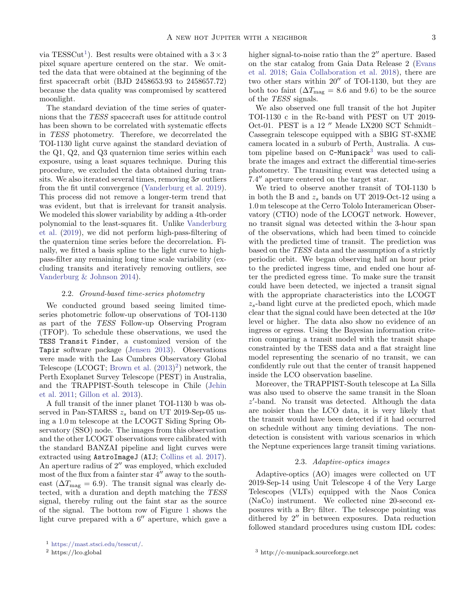via TESSCut<sup>[1](#page-2-0)</sup>). Best results were obtained with a  $3 \times 3$ pixel square aperture centered on the star. We omitted the data that were obtained at the beginning of the first spacecraft orbit (BJD 2458653.93 to 2458657.72) because the data quality was compromised by scattered moonlight.

The standard deviation of the time series of quaternions that the TESS spacecraft uses for attitude control has been shown to be correlated with systematic effects in TESS photometry. Therefore, we decorrelated the TOI-1130 light curve against the standard deviation of the Q1, Q2, and Q3 quaternion time series within each exposure, using a least squares technique. During this procedure, we excluded the data obtained during transits. We also iterated several times, removing  $3\sigma$  outliers from the fit until convergence [\(Vanderburg et al.](#page-11-11) [2019\)](#page-11-11). This process did not remove a longer-term trend that was evident, but that is irrelevant for transit analysis. We modeled this slower variability by adding a 4th-order polynomial to the least-squares fit. Unlike [Vanderburg](#page-11-11) [et al.](#page-11-11) [\(2019\)](#page-11-11), we did not perform high-pass-filtering of the quaternion time series before the decorrelation. Finally, we fitted a basis spline to the light curve to highpass-filter any remaining long time scale variability (excluding transits and iteratively removing outliers, see [Vanderburg & Johnson](#page-11-12) [2014\)](#page-11-12).

## 2.2. Ground-based time-series photometry

We conducted ground based seeing limited timeseries photometric follow-up observations of TOI-1130 as part of the TESS Follow-up Observing Program (TFOP). To schedule these observations, we used the TESS Transit Finder, a customized version of the Tapir software package [\(Jensen](#page-11-13) [2013\)](#page-11-13). Observations were made with the Las Cumbres Observatory Global Telescope (LCOGT; [Brown et al.](#page-9-3) [\(2013\)](#page-9-3) [2](#page-2-1) ) network, the Perth Exoplanet Survey Telescope (PEST) in Australia, and the TRAPPIST-South telescope in Chile [\(Jehin](#page-11-14) [et al.](#page-11-14) [2011;](#page-11-14) [Gillon et al.](#page-11-15) [2013\)](#page-11-15).

A full transit of the inner planet TOI-1130 b was observed in Pan-STARSS  $z_s$  band on UT 2019-Sep-05 using a 1.0 m telescope at the LCOGT Siding Spring Observatory (SSO) node. The images from this observation and the other LCOGT observations were calibrated with the standard BANZAI pipeline and light curves were extracted using AstroImageJ (AIJ; [Collins et al.](#page-9-4) [2017\)](#page-9-4). An aperture radius of  $2^{\prime\prime}$  was employed, which excluded most of the flux from a fainter star  $4''$  away to the southeast ( $\Delta T_{\text{mag}} = 6.9$ ). The transit signal was clearly detected, with a duration and depth matching the TESS signal, thereby ruling out the faint star as the source of the signal. The bottom row of Figure [1](#page-3-0) shows the light curve prepared with a  $6^{\prime\prime}$  aperture, which gave a

<span id="page-2-1"></span><sup>2</sup> https://lco.global

higher signal-to-noise ratio than the  $2<sup>′</sup>$  aperture. Based on the star catalog from Gaia Data Release 2 [\(Evans](#page-11-16) [et al.](#page-11-16) [2018;](#page-11-16) [Gaia Collaboration et al.](#page-11-17) [2018\)](#page-11-17), there are two other stars within  $20''$  of TOI-1130, but they are both too faint ( $\Delta T_{\text{mag}} = 8.6$  and 9.6) to be the source of the TESS signals.

We also observed one full transit of the hot Jupiter TOI-1130 c in the Rc-band with PEST on UT 2019- Oct-01. PEST is a 12  $''$  Meade LX200 SCT Schmidt– Cassegrain telescope equipped with a SBIG ST-8XME camera located in a suburb of Perth, Australia. A custom pipeline based on  $C-Munipack<sup>3</sup>$  $C-Munipack<sup>3</sup>$  $C-Munipack<sup>3</sup>$  was used to calibrate the images and extract the differential time-series photometry. The transiting event was detected using a 7.4" aperture centered on the target star.

We tried to observe another transit of TOI-1130 b in both the B and  $z_s$  bands on UT 2019-Oct-12 using a 1.0 m telescope at the Cerro Tololo Interamerican Observatory (CTIO) node of the LCOGT network. However, no transit signal was detected within the 3-hour span of the observations, which had been timed to coincide with the predicted time of transit. The prediction was based on the TESS data and the assumption of a strictly periodic orbit. We began observing half an hour prior to the predicted ingress time, and ended one hour after the predicted egress time. To make sure the transit could have been detected, we injected a transit signal with the appropriate characteristics into the LCOGT  $z_s$ -band light curve at the predicted epoch, which made clear that the signal could have been detected at the  $10\sigma$ level or higher. The data also show no evidence of an ingress or egress. Using the Bayesian information criterion comparing a transit model with the transit shape constrainted by the TESS data and a flat straight line model representing the scenario of no transit, we can confidently rule out that the center of transit happened inside the LCO observation baseline.

Moreover, the TRAPPIST-South telescope at La Silla was also used to observe the same transit in the Sloan  $z'$ -band. No transit was detected. Although the data are noisier than the LCO data, it is very likely that the transit would have been detected if it had occurred on schedule without any timing deviations. The nondetection is consistent with various scenarios in which the Neptune experiences large transit timing variations.

#### 2.3. Adaptive-optics images

Adaptive-optics (AO) images were collected on UT 2019-Sep-14 using Unit Telescope 4 of the Very Large Telescopes (VLTs) equipped with the Naos Conica (NaCo) instrument. We collected nine 20-second exposures with a Br $\gamma$  filter. The telescope pointing was dithered by  $2^{\prime\prime}$  in between exposures. Data reduction followed standard procedures using custom IDL codes:

<span id="page-2-0"></span><sup>1</sup> [https://mast.stsci.edu/tesscut/.](https://mast.stsci.edu/tesscut/)

<span id="page-2-2"></span><sup>3</sup> http://c-munipack.sourceforge.net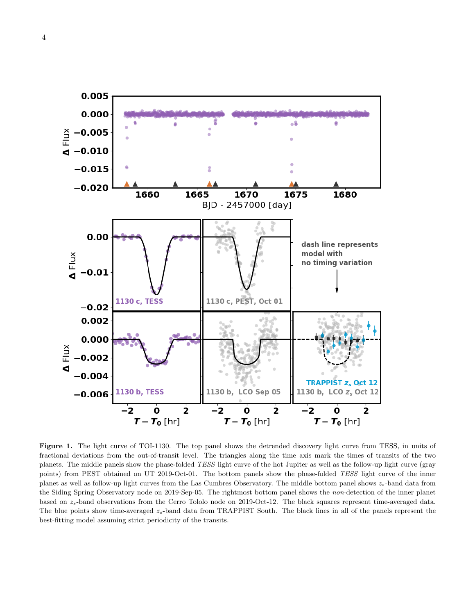

<span id="page-3-0"></span>Figure 1. The light curve of TOI-1130. The top panel shows the detrended discovery light curve from TESS, in units of fractional deviations from the out-of-transit level. The triangles along the time axis mark the times of transits of the two planets. The middle panels show the phase-folded TESS light curve of the hot Jupiter as well as the follow-up light curve (gray points) from PEST obtained on UT 2019-Oct-01. The bottom panels show the phase-folded TESS light curve of the inner planet as well as follow-up light curves from the Las Cumbres Observatory. The middle bottom panel shows  $z_s$ -band data from the Siding Spring Observatory node on 2019-Sep-05. The rightmost bottom panel shows the non-detection of the inner planet based on  $z_s$ -band observations from the Cerro Tololo node on 2019-Oct-12. The black squares represent time-averaged data. The blue points show time-averaged  $z_s$ -band data from TRAPPIST South. The black lines in all of the panels represent the best-fitting model assuming strict periodicity of the transits.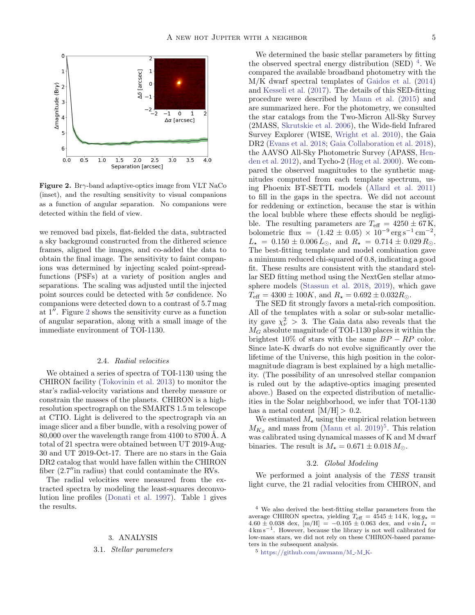

<span id="page-4-1"></span>**Figure 2.** Br $\gamma$ -band adaptive-optics image from VLT NaCo (inset), and the resulting sensitivity to visual companions as a function of angular separation. No companions were detected within the field of view.

we removed bad pixels, flat-fielded the data, subtracted a sky background constructed from the dithered science frames, aligned the images, and co-added the data to obtain the final image. The sensitivity to faint companions was determined by injecting scaled point-spreadfunctions (PSFs) at a variety of position angles and separations. The scaling was adjusted until the injected point sources could be detected with  $5\sigma$  confidence. No companions were detected down to a contrast of 5.7 mag at  $1''$ . Figure [2](#page-4-1) shows the sensitivity curve as a function of angular separation, along with a small image of the immediate environment of TOI-1130.

## 2.4. Radial velocities

We obtained a series of spectra of TOI-1130 using the CHIRON facility [\(Tokovinin et al.](#page-11-18) [2013\)](#page-11-18) to monitor the star's radial-velocity variations and thereby measure or constrain the masses of the planets. CHIRON is a highresolution spectrograph on the SMARTS 1.5 m telescope at CTIO. Light is delivered to the spectrograph via an image slicer and a fiber bundle, with a resolving power of 80,000 over the wavelength range from 4100 to 8700 Å. A total of 21 spectra were obtained between UT 2019-Aug-30 and UT 2019-Oct-17. There are no stars in the Gaia DR2 catalog that would have fallen within the CHIRON fiber  $(2.7$ " in radius) that could contaminate the RVs.

<span id="page-4-0"></span>The radial velocities were measured from the extracted spectra by modeling the least-squares deconvolution line profiles [\(Donati et al.](#page-9-5) [1997\)](#page-9-5). Table [1](#page-6-1) gives the results.

# 3. ANALYSIS

## <span id="page-4-4"></span>3.1. Stellar parameters

We determined the basic stellar parameters by fitting the observed spectral energy distribution (SED)  $<sup>4</sup>$  $<sup>4</sup>$  $<sup>4</sup>$ . We</sup> compared the available broadband photometry with the M/K dwarf spectral templates of [Gaidos et al.](#page-11-19) [\(2014\)](#page-11-19) and [Kesseli et al.](#page-11-20) [\(2017\)](#page-11-20). The details of this SED-fitting procedure were described by [Mann et al.](#page-11-21) [\(2015\)](#page-11-21) and are summarized here. For the photometry, we consulted the star catalogs from the Two-Micron All-Sky Survey (2MASS, [Skrutskie et al.](#page-11-22) [2006\)](#page-11-22), the Wide-field Infrared Survey Explorer (WISE, [Wright et al.](#page-11-23) [2010\)](#page-11-23), the Gaia DR2 [\(Evans et al.](#page-11-16) [2018;](#page-11-16) [Gaia Collaboration et al.](#page-11-17) [2018\)](#page-11-17), the AAVSO All-Sky Photometric Survey (APASS, [Hen](#page-11-24)[den et al.](#page-11-24) [2012\)](#page-11-24), and Tycho-2 [\(Høg et al.](#page-11-25) [2000\)](#page-11-25). We compared the observed magnitudes to the synthetic magnitudes computed from each template spectrum, using Phoenix BT-SETTL models [\(Allard et al.](#page-9-6) [2011\)](#page-9-6) to fill in the gaps in the spectra. We did not account for reddening or extinction, because the star is within the local bubble where these effects should be negligible. The resulting parameters are  $T_{\text{eff}} = 4250 \pm 67 \,\text{K}$ , bolometric flux =  $(1.42 \pm 0.05) \times 10^{-9} \text{ erg s}^{-1} \text{ cm}^{-2}$ ,  $L_{\star} = 0.150 \pm 0.006 L_{\odot}$ , and  $R_{\star} = 0.714 \pm 0.029 R_{\odot}$ . The best-fitting template and model combination gave a minimum reduced chi-squared of 0.8, indicating a good fit. These results are consistent with the standard stellar SED fitting method using the NextGen stellar atmosphere models [\(Stassun et al.](#page-11-26) [2018,](#page-11-26) [2019\)](#page-11-8), which gave  $T_{\text{eff}} = 4300 \pm 100K$ , and  $R_{\star} = 0.692 \pm 0.032R_{\odot}$ .

The SED fit strongly favors a metal-rich composition. All of the templates with a solar or sub-solar metallicity gave  $\chi^2_{\nu} > 3$ . The Gaia data also reveals that the  $M_G$  absolute magnitude of TOI-1130 places it within the brightest  $10\%$  of stars with the same  $BP - RP$  color. Since late-K dwarfs do not evolve significantly over the lifetime of the Universe, this high position in the colormagnitude diagram is best explained by a high metallicity. (The possibility of an unresolved stellar companion is ruled out by the adaptive-optics imaging presented above.) Based on the expected distribution of metallicities in the Solar neighborhood, we infer that TOI-1130 has a metal content  $[M/H] > 0.2$ .

We estimated  $M_{\star}$  using the empirical relation between  $M_{K_S}$  and mass from [\(Mann et al.](#page-11-27) [2019\)](#page-11-27)<sup>[5](#page-4-3)</sup>. This relation was calibrated using dynamical masses of K and M dwarf binaries. The result is  $M_{\star} = 0.671 \pm 0.018 M_{\odot}$ .

## 3.2. Global Modeling

We performed a joint analysis of the TESS transit light curve, the 21 radial velocities from CHIRON, and

<span id="page-4-2"></span><sup>4</sup> We also derived the best-fitting stellar parameters from the average CHIRON spectra, yielding  $T_{\text{eff}} = 4545 \pm 14 \,\text{K}$ , log  $g_{\star} =$  $4.60 \pm 0.038$  dex,  $\text{[m/H]} = -0.105 \pm 0.063$  dex, and  $v \sin I_x =$ 4 km s−<sup>1</sup> . However, because the library is not well calibrated for low-mass stars, we did not rely on these CHIRON-based parameters in the subsequent analysis.

<span id="page-4-3"></span> $5 \text{ https://github.com/awmann/M--M.K-}$  $5 \text{ https://github.com/awmann/M--M.K-}$  $5 \text{ https://github.com/awmann/M--M.K-}$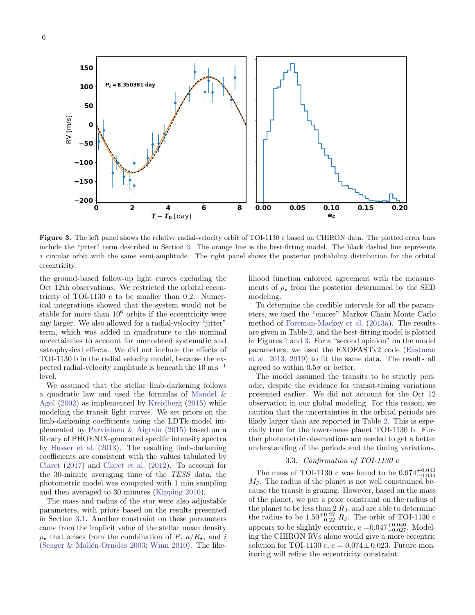

<span id="page-5-0"></span>Figure 3. The left panel shows the relative radial-velocity orbit of TOI-1130 c based on CHIRON data. The plotted error bars include the "jitter" term described in Section [3.](#page-4-0) The orange line is the best-fitting model. The black dashed line represents a circular orbit with the same semi-amplitude. The right panel shows the posterior probability distribution for the orbital eccentricity.

the ground-based follow-up light curves excluding the Oct 12th observations. We restricted the orbital eccentricity of TOI-1130 c to be smaller than 0.2. Numerical integrations showed that the system would not be stable for more than  $10^6$  orbits if the eccentricity were any larger. We also allowed for a radial-velocity "jitter" term, which was added in quadrature to the nominal uncertainties to account for unmodeled systematic and astrophysical effects. We did not include the effects of TOI-1130 b in the radial velocity model, because the expected radial-velocity amplitude is beneath the  $10 \text{ m s}^{-1}$ level.

We assumed that the stellar limb-darkening follows a quadratic law and used the formulas of [Mandel &](#page-11-28) [Agol](#page-11-28) [\(2002\)](#page-11-28) as implemented by [Kreidberg](#page-11-29) [\(2015\)](#page-11-29) while modeling the transit light curves. We set priors on the limb-darkening coefficients using the LDTk model implemented by [Parviainen & Aigrain](#page-11-30) [\(2015\)](#page-11-30) based on a library of PHOENIX-generated specific intensity spectra by [Husser et al.](#page-11-31) [\(2013\)](#page-11-31). The resulting limb-darkening coefficients are consistent with the values tabulated by [Claret](#page-9-7) [\(2017\)](#page-9-7) and [Claret et al.](#page-9-8) [\(2012\)](#page-9-8). To account for the 30-minute averaging time of the TESS data, the photometric model was computed with 1 min sampling and then averaged to 30 minutes [\(Kipping](#page-11-32) [2010\)](#page-11-32).

The mass and radius of the star were also adjustable parameters, with priors based on the results presented in Section [3.1.](#page-4-4) Another constraint on these parameters came from the implicit value of the stellar mean density  $\rho_{\star}$  that arises from the combination of P,  $a/R_{\star}$ , and i (Seager  $&$  Mallén-Ornelas [2003;](#page-11-33) [Winn](#page-11-34) [2010\)](#page-11-34). The likelihood function enforced agreement with the measurements of  $\rho_{\star}$  from the posterior determined by the SED modeling.

To determine the credible intervals for all the parameters, we used the "emcee" Markov Chain Monte Carlo method of [Foreman-Mackey et al.](#page-11-35) [\(2013a\)](#page-11-35). The results are given in Table [2,](#page-10-0) and the best-fitting model is plotted in Figures [1](#page-3-0) and [3.](#page-5-0) For a "second opinion" on the model parameters, we used the EXOFASTv2 code [\(Eastman](#page-9-9) [et al.](#page-9-9) [2013,](#page-9-9) [2019\)](#page-9-10) to fit the same data. The results all agreed to within  $0.5\sigma$  or better.

The model assumed the transits to be strictly periodic, despite the evidence for transit-timing variations presented earlier. We did not account for the Oct 12 observation in our global modeling. For this reason, we caution that the uncertainties in the orbital periods are likely larger than are reported in Table [2.](#page-10-0) This is especially true for the lower-mass planet TOI-1130 b. Further photometric observations are needed to get a better understanding of the periods and the timing variations.

## 3.3. Confirmation of TOI-1130 c

The mass of TOI-1130 c was found to be  $0.974_{-0.044}^{+0.043}$  $M_J$ . The radius of the planet is not well constrained because the transit is grazing. However, based on the mass of the planet, we put a prior constraint on the radius of the planet to be less than  $2 R_J$ , and are able to determine the radius to be  $1.50^{+0.27}_{-0.22} R_{J}$ . The orbit of TOI-1130 c appears to be slightly eccentric,  $e = 0.047^{+0.040}_{-0.027}$ . Modeling the CHIRON RVs alone would give a more eccentric solution for TOI-1130 c,  $e = 0.074 \pm 0.023$ . Future monitoring will refine the eccentricity constraint.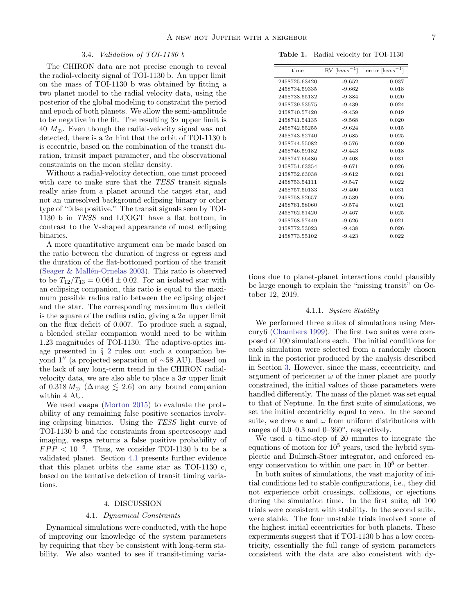# 3.4. Validation of TOI-1130 b

The CHIRON data are not precise enough to reveal the radial-velocity signal of TOI-1130 b. An upper limit on the mass of TOI-1130 b was obtained by fitting a two planet model to the radial velocity data, using the posterior of the global modeling to constraint the period and epoch of both planets. We allow the semi-amplitude to be negative in the fit. The resulting  $3\sigma$  upper limit is 40  $M_{\oplus}$ . Even though the radial-velocity signal was not detected, there is a  $2\sigma$  hint that the orbit of TOI-1130 b is eccentric, based on the combination of the transit duration, transit impact parameter, and the observational constraints on the mean stellar density.

Without a radial-velocity detection, one must proceed with care to make sure that the TESS transit signals really arise from a planet around the target star, and not an unresolved background eclipsing binary or other type of "false positive." The transit signals seen by TOI-1130 b in TESS and LCOGT have a flat bottom, in contrast to the V-shaped appearance of most eclipsing binaries.

A more quantitative argument can be made based on the ratio between the duration of ingress or egress and the duration of the flat-bottomed portion of the transit (Seager  $&$  Mallén-Ornelas [2003\)](#page-11-33). This ratio is observed to be  $T_{12}/T_{13} = 0.064 \pm 0.02$ . For an isolated star with an eclipsing companion, this ratio is equal to the maximum possible radius ratio between the eclipsing object and the star. The corresponding maximum flux deficit is the square of the radius ratio, giving a  $2\sigma$  upper limit on the flux deficit of 0.007. To produce such a signal, a blended stellar companion would need to be within 1.23 magnitudes of TOI-1130. The adaptive-optics image presented in § [2](#page-1-5) rules out such a companion beyond 1<sup>"</sup> (a projected separation of ∼58 AU). Based on the lack of any long-term trend in the CHIRON radialvelocity data, we are also able to place a  $3\sigma$  upper limit of  $0.318 M_{\odot}$  ( $\Delta$  mag  $\lesssim 2.6$ ) on any bound companion within 4 AU.

We used vespa [\(Morton](#page-11-36) [2015\)](#page-11-36) to evaluate the probability of any remaining false positive scenarios involving eclipsing binaries. Using the TESS light curve of TOI-1130 b and the constraints from spectroscopy and imaging, vespa returns a false positive probability of  $FPP < 10^{-6}$ . Thus, we consider TOI-1130 b to be a validated planet. Section [4.1](#page-6-2) presents further evidence that this planet orbits the same star as TOI-1130 c, based on the tentative detection of transit timing variations.

## 4. DISCUSSION

## 4.1. Dynamical Constraints

<span id="page-6-2"></span><span id="page-6-0"></span>Dynamical simulations were conducted, with the hope of improving our knowledge of the system parameters by requiring that they be consistent with long-term stability. We also wanted to see if transit-timing varia-

<span id="page-6-1"></span>Table 1. Radial velocity for TOI-1130

| time          | $RV$ [km s <sup>-1</sup> ] | error $\left[\mathrm{km\,s}^{-1}\right]$ |
|---------------|----------------------------|------------------------------------------|
| 2458725.63420 | $-9.652$                   | 0.037                                    |
| 2458734.59335 | $-9.662$                   | 0.018                                    |
| 2458738.55132 | $-9.384$                   | 0.020                                    |
| 2458739.53575 | $-9.439$                   | 0.024                                    |
| 2458740.57420 | $-9.459$                   | 0.019                                    |
| 2458741.54135 | $-9.568$                   | 0.020                                    |
| 2458742.55255 | $-9.624$                   | 0.015                                    |
| 2458743.52740 | $-9.685$                   | 0.025                                    |
| 2458744.55082 | $-9.576$                   | 0.030                                    |
| 2458746.59182 | $-9.443$                   | 0.018                                    |
| 2458747.66486 | $-9.408$                   | 0.031                                    |
| 2458751.63354 | $-9.671$                   | 0.026                                    |
| 2458752.63038 | $-9.612$                   | 0.021                                    |
| 2458753.54111 | $-9.547$                   | 0.022                                    |
| 2458757.50133 | $-9.400$                   | 0.031                                    |
| 2458758.52657 | $-9.539$                   | 0.026                                    |
| 2458761.58060 | $-9.574$                   | 0.021                                    |
| 2458762.51420 | $-9.467$                   | 0.025                                    |
| 2458768.57449 | $-9.626$                   | 0.021                                    |
| 2458772.53023 | $-9.438$                   | 0.026                                    |
| 2458773.55102 | $-9.423$                   | 0.022                                    |

tions due to planet-planet interactions could plausibly be large enough to explain the "missing transit" on October 12, 2019.

# 4.1.1. System Stability

We performed three suites of simulations using Mercury6 [\(Chambers](#page-9-11) [1999\)](#page-9-11). The first two suites were composed of 100 simulations each. The initial conditions for each simulation were selected from a randomly chosen link in the posterior produced by the analysis described in Section [3.](#page-4-0) However, since the mass, eccentricity, and argument of pericenter  $\omega$  of the inner planet are poorly constrained, the initial values of those parameters were handled differently. The mass of the planet was set equal to that of Neptune. In the first suite of simulations, we set the initial eccentricity equal to zero. In the second suite, we drew e and  $\omega$  from uniform distributions with ranges of 0.0–0.3 and 0–360◦ , respectively.

We used a time-step of 20 minutes to integrate the equations of motion for  $10^5$  years, used the hybrid symplectic and Bulirsch-Stoer integrator, and enforced energy conservation to within one part in  $10^8$  or better.

In both suites of simulations, the vast majority of initial conditions led to stable configurations, i.e., they did not experience orbit crossings, collisions, or ejections during the simulation time. In the first suite, all 100 trials were consistent with stability. In the second suite, were stable. The four unstable trials involved some of the highest initial eccentricities for both planets. These experiments suggest that if TOI-1130 b has a low eccentricity, essentially the full range of system parameters consistent with the data are also consistent with dy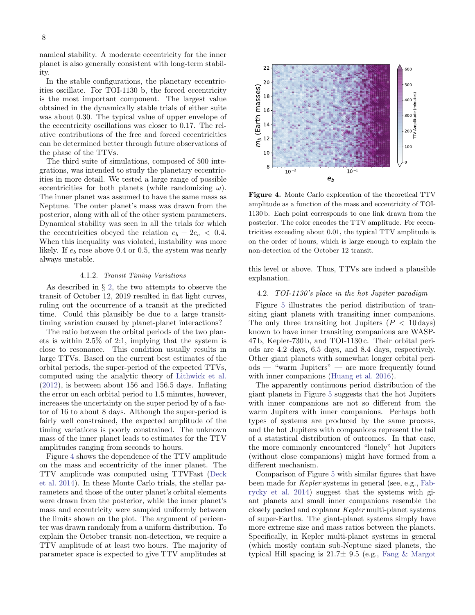namical stability. A moderate eccentricity for the inner planet is also generally consistent with long-term stability.

In the stable configurations, the planetary eccentricities oscillate. For TOI-1130 b, the forced eccentricity is the most important component. The largest value obtained in the dynamically stable trials of either suite was about 0.30. The typical value of upper envelope of the eccentricity oscillations was closer to 0.17. The relative contributions of the free and forced eccentricities can be determined better through future observations of the phase of the TTVs.

The third suite of simulations, composed of 500 integrations, was intended to study the planetary eccentricities in more detail. We tested a large range of possible eccentricities for both planets (while randomizing  $\omega$ ). The inner planet was assumed to have the same mass as Neptune. The outer planet's mass was drawn from the posterior, along with all of the other system parameters. Dynamical stability was seen in all the trials for which the eccentricities obeyed the relation  $e_b + 2e_c < 0.4$ . When this inequality was violated, instability was more likely. If  $e_b$  rose above 0.4 or 0.5, the system was nearly always unstable.

#### 4.1.2. Transit Timing Variations

As described in § [2,](#page-1-5) the two attempts to observe the transit of October 12, 2019 resulted in flat light curves, ruling out the occurrence of a transit at the predicted time. Could this plausibly be due to a large transittiming variation caused by planet-planet interactions?

The ratio between the orbital periods of the two planets is within 2.5% of 2:1, implying that the system is close to resonance. This condition usually results in large TTVs. Based on the current best estimates of the orbital periods, the super-period of the expected TTVs, computed using the analytic theory of [Lithwick et al.](#page-11-37) [\(2012\)](#page-11-37), is between about 156 and 156.5 days. Inflating the error on each orbital period to 1.5 minutes, however, increases the uncertainty on the super period by of a factor of 16 to about 8 days. Although the super-period is fairly well constrained, the expected amplitude of the timing variations is poorly constrained. The unknown mass of the inner planet leads to estimates for the TTV amplitudes ranging from seconds to hours.

Figure [4](#page-7-0) shows the dependence of the TTV amplitude on the mass and eccentricity of the inner planet. The TTV amplitude was computed using TTVFast [\(Deck](#page-9-12) [et al.](#page-9-12) [2014\)](#page-9-12). In these Monte Carlo trials, the stellar parameters and those of the outer planet's orbital elements were drawn from the posterior, while the inner planet's mass and eccentricity were sampled uniformly between the limits shown on the plot. The argument of pericenter was drawn randomly from a uniform distribution. To explain the October transit non-detection, we require a TTV amplitude of at least two hours. The majority of parameter space is expected to give TTV amplitudes at



<span id="page-7-0"></span>Figure 4. Monte Carlo exploration of the theoretical TTV amplitude as a function of the mass and eccentricity of TOI-1130 b. Each point corresponds to one link drawn from the posterior. The color encodes the TTV amplitude. For eccentricities exceeding about 0.01, the typical TTV amplitude is on the order of hours, which is large enough to explain the non-detection of the October 12 transit.

this level or above. Thus, TTVs are indeed a plausible explanation.

# 4.2. TOI-1130's place in the hot Jupiter paradigm

Figure [5](#page-8-0) illustrates the period distribution of transiting giant planets with transiting inner companions. The only three transiting hot Jupiters ( $P < 10 \,\text{days}$ ) known to have inner transiting companions are WASP-47 b, Kepler-730 b, and TOI-1130 c. Their orbital periods are 4.2 days, 6.5 days, and 8.4 days, respectively. Other giant planets with somewhat longer orbital periods — "warm Jupiters" — are more frequently found with inner companions [\(Huang et al.](#page-11-4) [2016\)](#page-11-4).

The apparently continuous period distribution of the giant planets in Figure [5](#page-8-0) suggests that the hot Jupiters with inner companions are not so different from the warm Jupiters with inner companions. Perhaps both types of systems are produced by the same process, and the hot Jupiters with companions represent the tail of a statistical distribution of outcomes. In that case, the more commonly encountered "lonely" hot Jupiters (without close companions) might have formed from a different mechanism.

Comparison of Figure [5](#page-8-0) with similar figures that have been made for Kepler systems in general (see, e.g., [Fab](#page-11-38)[rycky et al.](#page-11-38) [2014\)](#page-11-38) suggest that the systems with giant planets and small inner companions resemble the closely packed and coplanar Kepler multi-planet systems of super-Earths. The giant-planet systems simply have more extreme size and mass ratios between the planets. Specifically, in Kepler multi-planet systems in general (which mostly contain sub-Neptune sized planets, the typical Hill spacing is  $21.7 \pm 9.5$  (e.g., [Fang & Margot](#page-11-39)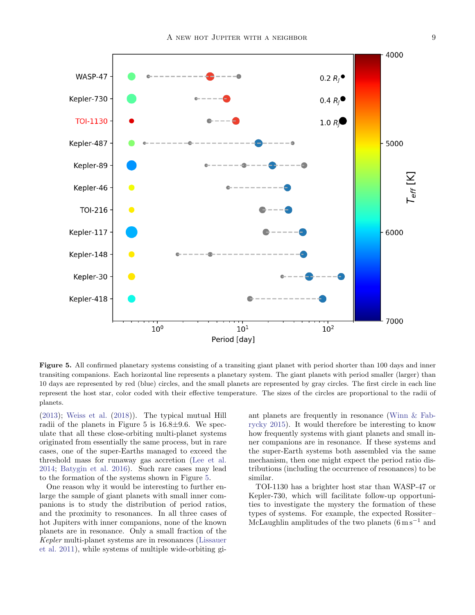

<span id="page-8-0"></span>Figure 5. All confirmed planetary systems consisting of a transiting giant planet with period shorter than 100 days and inner transiting companions. Each horizontal line represents a planetary system. The giant planets with period smaller (larger) than 10 days are represented by red (blue) circles, and the small planets are represented by gray circles. The first circle in each line represent the host star, color coded with their effective temperature. The sizes of the circles are proportional to the radii of planets.

[\(2013\)](#page-11-39); [Weiss et al.](#page-11-40) [\(2018\)](#page-11-40)). The typical mutual Hill radii of the planets in Figure 5 is  $16.8 \pm 9.6$ . We speculate that all these close-orbiting multi-planet systems originated from essentially the same process, but in rare cases, one of the super-Earths managed to exceed the threshold mass for runaway gas accretion [\(Lee et al.](#page-11-41) [2014;](#page-11-41) [Batygin et al.](#page-9-13) [2016\)](#page-9-13). Such rare cases may lead to the formation of the systems shown in Figure [5.](#page-8-0)

One reason why it would be interesting to further enlarge the sample of giant planets with small inner companions is to study the distribution of period ratios, and the proximity to resonances. In all three cases of hot Jupiters with inner companions, none of the known planets are in resonance. Only a small fraction of the Kepler multi-planet systems are in resonances [\(Lissauer](#page-11-42) [et al.](#page-11-42) [2011\)](#page-11-42), while systems of multiple wide-orbiting giant planets are frequently in resonance [\(Winn & Fab](#page-11-43)[rycky](#page-11-43) [2015\)](#page-11-43). It would therefore be interesting to know how frequently systems with giant planets and small inner companions are in resonance. If these systems and the super-Earth systems both assembled via the same mechanism, then one might expect the period ratio distributions (including the occurrence of resonances) to be similar.

TOI-1130 has a brighter host star than WASP-47 or Kepler-730, which will facilitate follow-up opportunities to investigate the mystery the formation of these types of systems. For example, the expected Rossiter– McLaughlin amplitudes of the two planets  $(6 \text{ m s}^{-1})$  and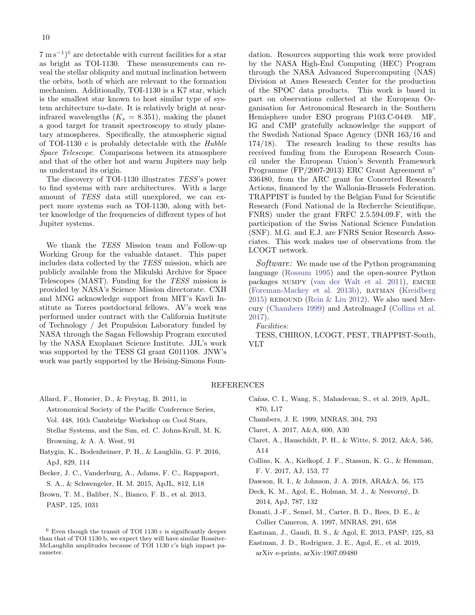$7 \text{ m s}^{-1}$ <sup>[6](#page-9-14)</sup> are detectable with current facilities for a star as bright as TOI-1130. These measurements can reveal the stellar obliquity and mutual inclination between the orbits, both of which are relevant to the formation mechanism. Additionally, TOI-1130 is a K7 star, which is the smallest star known to host similar type of system architecture to-date. It is relatively bright at nearinfrared wavelengths  $(K_s = 8.351)$ , making the planet a good target for transit spectroscopy to study planetary atmospheres. Specifically, the atmospheric signal of TOI-1130 c is probably detectable with the Hubble Space Telescope. Comparisons between its atmosphere and that of the other hot and warm Jupiters may help us understand its origin.

The discovery of TOI-1130 illustrates TESS's power to find systems with rare architectures. With a large amount of TESS data still unexplored, we can expect more systems such as TOI-1130, along with better knowledge of the frequencies of different types of hot Jupiter systems.

We thank the TESS Mission team and Follow-up Working Group for the valuable dataset. This paper includes data collected by the TESS mission, which are publicly available from the Mikulski Archive for Space Telescopes (MAST). Funding for the TESS mission is provided by NASA's Science Mission directorate. CXH and MNG acknowledge support from MIT's Kavli Institute as Torres postdoctoral fellows. AV's work was performed under contract with the California Institute of Technology / Jet Propulsion Laboratory funded by NASA through the Sagan Fellowship Program executed by the NASA Exoplanet Science Institute. JJL's work was supported by the TESS GI grant G011108. JNW's work was partly supported by the Heising-Simons Foundation. Resources supporting this work were provided by the NASA High-End Computing (HEC) Program through the NASA Advanced Supercomputing (NAS) Division at Ames Research Center for the production of the SPOC data products. This work is based in part on observations collected at the European Organisation for Astronomical Research in the Southern Hemisphere under ESO program P103.C-0449. MF, IG and CMP gratefully acknowledge the support of the Swedish National Space Agency (DNR 163/16 and 174/18). The research leading to these results has received funding from the European Research Council under the European Union's Seventh Framework Programme (FP/2007-2013) ERC Grant Agreement n◦ 336480, from the ARC grant for Concerted Research Actions, financed by the Wallonia-Brussels Federation. TRAPPIST is funded by the Belgian Fund for Scientific Research (Fond National de la Recherche Scientifique, FNRS) under the grant FRFC 2.5.594.09.F, with the participation of the Swiss National Science Fundation (SNF). M.G. and E.J. are FNRS Senior Research Associates. This work makes use of observations from the LCOGT network.

Software: We made use of the Python programming language [\(Rossum](#page-11-44) [1995\)](#page-11-44) and the open-source Python packages numpy [\(van der Walt et al.](#page-11-45) [2011\)](#page-11-45), emcee [\(Foreman-Mackey et al.](#page-11-46) [2013b\)](#page-11-46), batman [\(Kreidberg](#page-11-29) [2015\)](#page-11-29) REBOUND (Rein  $&$  Liu [2012\)](#page-11-47). We also used Mercury [\(Chambers](#page-9-11) [1999\)](#page-9-11) and AstroImageJ [\(Collins et al.](#page-9-4) [2017\)](#page-9-4).

Facilities:

TESS, CHIRON, LCOGT, PEST, TRAPPIST-South, VLT

# REFERENCES

- <span id="page-9-6"></span>Allard, F., Homeier, D., & Freytag, B. 2011, in
	- Astronomical Society of the Pacific Conference Series,
	- Vol. 448, 16th Cambridge Workshop on Cool Stars, Stellar Systems, and the Sun, ed. C. Johns-Krull, M. K. Browning, & A. A. West, 91
- <span id="page-9-13"></span>Batygin, K., Bodenheimer, P. H., & Laughlin, G. P. 2016,
	- ApJ, 829, 114
- <span id="page-9-1"></span>Becker, J. C., Vanderburg, A., Adams, F. C., Rappaport, S. A., & Schwengeler, H. M. 2015, ApJL, 812, L18
- <span id="page-9-3"></span>Brown, T. M., Baliber, N., Bianco, F. B., et al. 2013, PASP, 125, 1031
- <span id="page-9-2"></span>Cañas, C. I., Wang, S., Mahadevan, S., et al. 2019, ApJL, 870, L17
- <span id="page-9-11"></span>Chambers, J. E. 1999, MNRAS, 304, 793
- <span id="page-9-7"></span>Claret, A. 2017, A&A, 600, A30
- <span id="page-9-8"></span>Claret, A., Hauschildt, P. H., & Witte, S. 2012, A&A, 546, A14
- <span id="page-9-4"></span>Collins, K. A., Kielkopf, J. F., Stassun, K. G., & Hessman, F. V. 2017, AJ, 153, 77
- <span id="page-9-0"></span>Dawson, R. I., & Johnson, J. A. 2018, ARA&A, 56, 175
- <span id="page-9-12"></span>Deck, K. M., Agol, E., Holman, M. J., & Nesvorný, D. 2014, ApJ, 787, 132
- <span id="page-9-5"></span>Donati, J.-F., Semel, M., Carter, B. D., Rees, D. E., & Collier Cameron, A. 1997, MNRAS, 291, 658
- <span id="page-9-9"></span>Eastman, J., Gaudi, B. S., & Agol, E. 2013, PASP, 125, 83
- <span id="page-9-10"></span>Eastman, J. D., Rodriguez, J. E., Agol, E., et al. 2019, arXiv e-prints, arXiv:1907.09480

<span id="page-9-14"></span> $^6$  Even though the transit of TOI 1130 c is significantly deeper than that of TOI 1130 b, we expect they will have similar Rossiter-McLaughlin amplitudes because of TOI 1130 c's high impact parameter.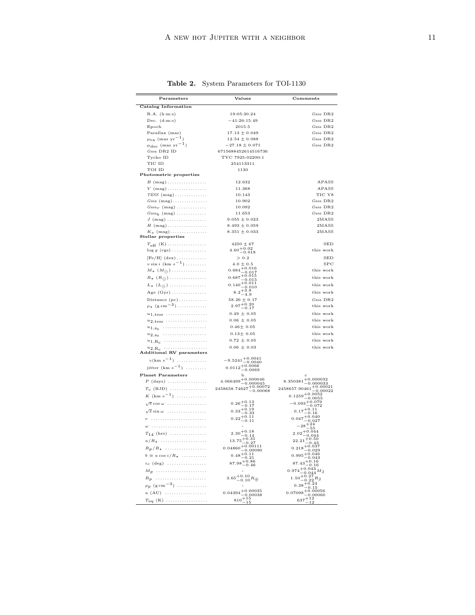| $\bf Parameters$                                      | Values                                         | Comments                                                  |
|-------------------------------------------------------|------------------------------------------------|-----------------------------------------------------------|
| Catalog Information                                   |                                                |                                                           |
| R.A. (h:m:s)                                          | 19:05:30.24                                    | Gaia DR2                                                  |
| Dec. $(d:m:s)$                                        | $-41:26:15.49$                                 | Gaia DR2                                                  |
| Epoch                                                 | 2015.5                                         | Gaia DR2                                                  |
| Parallax (mas)                                        | $17.13 \pm 0.049$                              | Gaia DR2                                                  |
| $\mu_{\text{ra}}$ (mas yr <sup>-1</sup> )             | $12.54 \pm 0.088$                              | Gaia DR2                                                  |
| $\mu_{\rm dec}$ (mas ${\rm yr}^{-1})$                 | $-27.18 \pm 0.071$                             | Gaia DR2                                                  |
| Gaia DR2 ID                                           | 6715688452614516736                            |                                                           |
| Tycho ID                                              | TYC 7925-02200-1                               |                                                           |
| TIC ID                                                | 254113311                                      |                                                           |
| TOI ID                                                | 1130                                           |                                                           |
| Photometric properties                                |                                                |                                                           |
| $B \text{ (mag)} \dots \dots \dots \dots \dots \dots$ | 12.632                                         | APASS                                                     |
| $V$ (mag)<br>$TESS$ (mag)                             | 11.368                                         | APASS                                                     |
| $Gaia$ $(mag)$                                        | 10.143<br>10.902                               | TIC V8<br>Gaia DR2                                        |
|                                                       | 10.092                                         | Gaia DR2                                                  |
| $Gaiar$ (mag)<br>$Gaia_h$ (mag)                       | 11.653                                         | Gaia DR2                                                  |
| $J$ (mag)                                             | $9.055 \pm 0.023$                              | 2MASS                                                     |
| $H$ (mag)                                             | $8.493 \pm 0.059$                              | 2MASS                                                     |
| $K_s$ (mag)                                           | $8.351 \pm 0.033$                              | 2MASS                                                     |
| Stellar properties                                    |                                                |                                                           |
| $T_{\rm eff}$ (K)                                     | $4250 \pm 67$                                  | <b>SED</b>                                                |
| $\log g$ (cgs)                                        | $4.60 + 0.02$<br>$-0.018$                      | this work                                                 |
| $[Fe/H]$ (dex)                                        | > 0.2                                          | <b>SED</b>                                                |
| $v \sin i$ (km s <sup>-1</sup> )                      | $4.0\pm0.5$                                    | SPC                                                       |
| $M_{\star}$ $(M_{\odot})$                             | $0.684^{+0.016}_{-0.017}$                      | this work                                                 |
| $R_{\star}$ $(R_{\odot})$                             | $0.687 + 0.015$                                | this work                                                 |
| $L_{\star}$ $(L_{\odot})$                             | $-0.015$<br>$0.140 + 0.011$                    | this work                                                 |
| Age $(Gyr)$                                           | $-0.010$                                       |                                                           |
|                                                       | $8.2^{+3.8}_{-4.9}$                            | this work                                                 |
| Distance $(pc)$                                       | $58.26 \pm 0.17$                               | Gaia DR2                                                  |
| $\rho_{\star}$ (g cm <sup>-3</sup> )                  | $2.97^{+0.20}_{-0.17}$                         | this work                                                 |
| $u_{1,\text{tess}}$                                   | $0.49 \pm 0.05$                                | this work                                                 |
| $u_{2,\text{tess}}$                                   | $0.06 \pm 0.05$                                | this work                                                 |
| $u_{1,\mathbf{z}_{\mathbf{S}}}$                       | $0.46 \pm 0.05$                                | this work                                                 |
| $u_{2,z_{\rm s}}$                                     | $0.13 \pm 0.05$                                | this work                                                 |
| $u_{1,\mathrm{R}_c}$                                  | $0.72 \pm 0.05$                                | this work                                                 |
| $u_{2,\text{R}_\text{C}}$                             | $0.06 \pm 0.03$                                | this work                                                 |
| <b>Additional RV</b> parameters                       |                                                |                                                           |
| $\gamma$ (km s <sup>-1</sup> )                        | $-9.5241 + 0.0041$<br>$-0.0040$                |                                                           |
| jitter $(km s-1)$                                     | $0.0112_{-0.0069}^{+0.0066}$                   |                                                           |
| <b>Planet Parameters</b>                              | ь                                              | c                                                         |
| $P$ (days)                                            | $4.066499 + 0.000046$<br>$-0.000045$           | $8.350381 + 0.000032$<br>$-0.000033$                      |
| $T_c$ (BJD)                                           | $2458658.74627^{+0.00072}_{-0.00068}$          | $2458657.90461 + 0.00021$<br>$-0.00022$                   |
| $K$ (km s <sup>-1</sup> )                             |                                                | $0.1259 + 0.0052$                                         |
|                                                       | $0.26 + 0.13$<br>$-0.17$                       | $-0.0055$<br>$-0.093^{+0.079}_{-0.079}$                   |
| $\sqrt{e}$ cos $\omega$                               | $0.33^{+\overset{\circ}{0}.19}$                | 0.072                                                     |
| $\sqrt{e}$ sin $\omega$                               | $-0.33$                                        | $0.17 + 0.11$<br>$-0.16$                                  |
|                                                       | $0.22 + 0.11$                                  | $0.047 + 0.040$<br>$-0.027$                               |
|                                                       |                                                | $-28+24$<br>$-55$                                         |
| $T_{14}$ (hrs)                                        | $2.30 + 0.18$<br>$-0.14$                       | $2.02 + 0.044$<br>$-0.044$                                |
| $a/R_{\star}$                                         | $13.75^{+0.31}_{-0.25}$                        | $22.21_{-0.43}^{+0.50}$                                   |
| $R_p/R_{\star}$                                       | $-0.27$<br>$0.04860 + 0.00111$                 | $0.218 + 0.037$                                           |
|                                                       | $-0.00090$<br>$0.48 + 0.11$                    | $-0.029$<br>$0.995 + 0.046$                               |
|                                                       |                                                | $-0.043$                                                  |
| $b \equiv a \cos i/R_{\star} \dots \dots \dots$       | $-0.21$                                        |                                                           |
| $i_c$ (deg)                                           | $87.98 + 0.86$<br>-0.46                        | $87.43^{+0.16}_{-0.16}$                                   |
| $M_{\mathcal{D}}$                                     |                                                |                                                           |
| $R_p$                                                 |                                                | $0.974_{-0.044}^{+0.043}M_J$                              |
| $\rho_p$ (g cm <sup>-3</sup> )                        | $3.65^{+0.10}_{-0.10} R_\oplus$                | $1.50^{+0.27}_{-0.22}R_{\rm J}$                           |
| $a$ (AU)                                              | $0.04394^{+0.00035}$<br>$-0.00038$<br>$810+15$ | $0.38 + 0.24 - 0.15$<br>$0.07098 + 0.00056$<br>$637 + 12$ |

<span id="page-10-0"></span>Table 2. System Parameters for TOI-1130